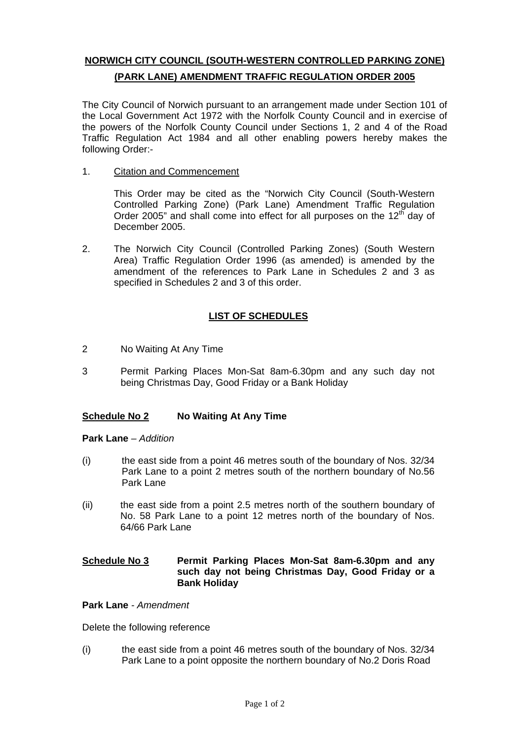# **NORWICH CITY COUNCIL (SOUTH-WESTERN CONTROLLED PARKING ZONE) (PARK LANE) AMENDMENT TRAFFIC REGULATION ORDER 2005**

The City Council of Norwich pursuant to an arrangement made under Section 101 of the Local Government Act 1972 with the Norfolk County Council and in exercise of the powers of the Norfolk County Council under Sections 1, 2 and 4 of the Road Traffic Regulation Act 1984 and all other enabling powers hereby makes the following Order:-

1. Citation and Commencement

This Order may be cited as the "Norwich City Council (South-Western Controlled Parking Zone) (Park Lane) Amendment Traffic Regulation Order 2005" and shall come into effect for all purposes on the  $12<sup>th</sup>$  day of December 2005.

2. The Norwich City Council (Controlled Parking Zones) (South Western Area) Traffic Regulation Order 1996 (as amended) is amended by the amendment of the references to Park Lane in Schedules 2 and 3 as specified in Schedules 2 and 3 of this order.

## **LIST OF SCHEDULES**

- 2 No Waiting At Any Time
- 3 Permit Parking Places Mon-Sat 8am-6.30pm and any such day not being Christmas Day, Good Friday or a Bank Holiday

### **Schedule No 2 No Waiting At Any Time**

#### **Park Lane** *– Addition*

- (i) the east side from a point 46 metres south of the boundary of Nos. 32/34 Park Lane to a point 2 metres south of the northern boundary of No.56 Park Lane
- (ii) the east side from a point 2.5 metres north of the southern boundary of No. 58 Park Lane to a point 12 metres north of the boundary of Nos. 64/66 Park Lane

#### **<u>Schedule No 3</u> Permit Parking Places Mon-Sat 8am-6.30pm and any such day not being Christmas Day, Good Friday or a Bank Holiday**

#### **Park Lane** *- Amendment*

Delete the following reference

(i) the east side from a point 46 metres south of the boundary of Nos. 32/34 Park Lane to a point opposite the northern boundary of No.2 Doris Road